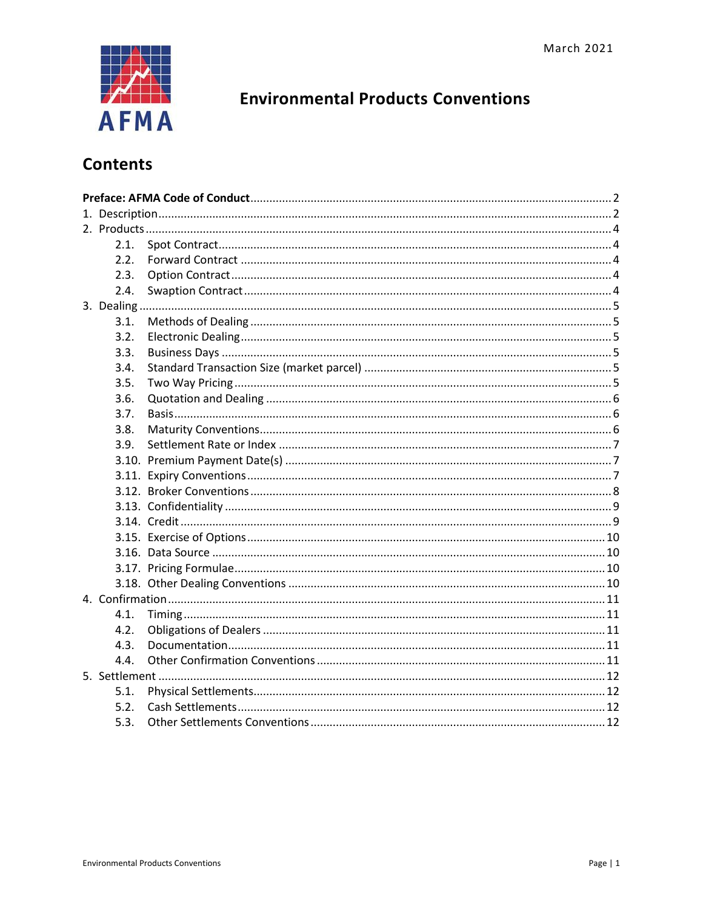

# **Environmental Products Conventions**

# **Contents**

| 2.1. |  |  |  |  |  |
|------|--|--|--|--|--|
| 2.2. |  |  |  |  |  |
| 2.3. |  |  |  |  |  |
| 2.4. |  |  |  |  |  |
|      |  |  |  |  |  |
| 3.1. |  |  |  |  |  |
| 3.2. |  |  |  |  |  |
| 3.3. |  |  |  |  |  |
| 3.4. |  |  |  |  |  |
| 3.5. |  |  |  |  |  |
| 3.6. |  |  |  |  |  |
| 3.7. |  |  |  |  |  |
| 3.8. |  |  |  |  |  |
| 3.9. |  |  |  |  |  |
|      |  |  |  |  |  |
|      |  |  |  |  |  |
|      |  |  |  |  |  |
|      |  |  |  |  |  |
|      |  |  |  |  |  |
|      |  |  |  |  |  |
|      |  |  |  |  |  |
|      |  |  |  |  |  |
|      |  |  |  |  |  |
|      |  |  |  |  |  |
| 4.1. |  |  |  |  |  |
| 4.2. |  |  |  |  |  |
| 4.3. |  |  |  |  |  |
| 4.4. |  |  |  |  |  |
|      |  |  |  |  |  |
| 5.1. |  |  |  |  |  |
| 5.2. |  |  |  |  |  |
| 5.3. |  |  |  |  |  |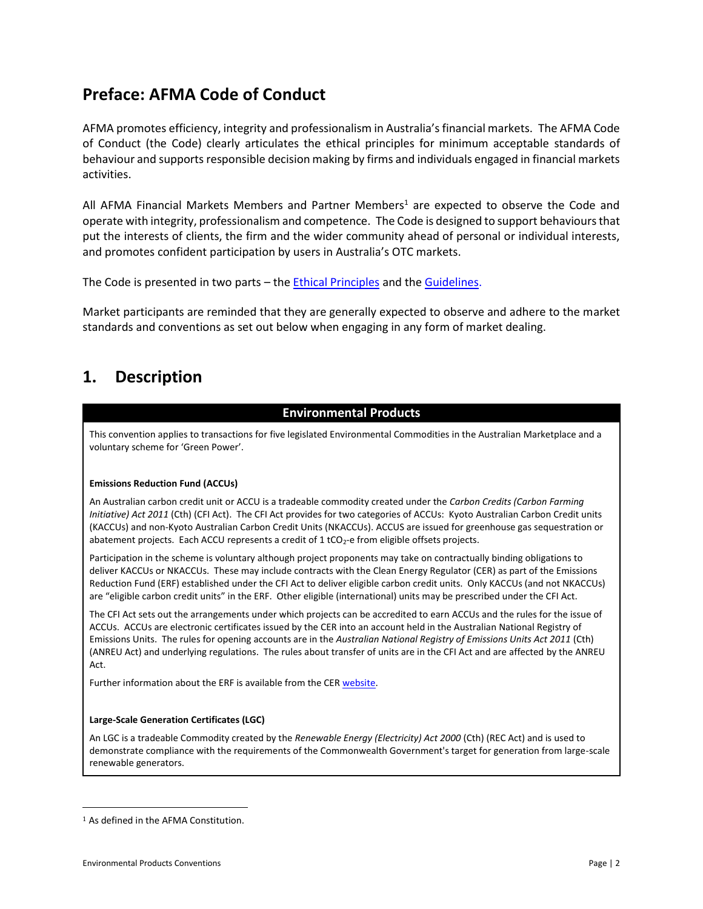# <span id="page-1-0"></span>**Preface: AFMA Code of Conduct**

AFMA promotes efficiency, integrity and professionalism in Australia's financial markets. The AFMA Code of Conduct (the Code) clearly articulates the ethical principles for minimum acceptable standards of behaviour and supports responsible decision making by firms and individuals engaged in financial markets activities.

All AFMA Financial Markets Members and Partner Members<sup>1</sup> are expected to observe the Code and operate with integrity, professionalism and competence. The Code is designed to support behaviours that put the interests of clients, the firm and the wider community ahead of personal or individual interests, and promotes confident participation by users in Australia's OTC markets.

The Code is presented in two parts – the **Ethical Principles** and the **Guidelines**.

Market participants are reminded that they are generally expected to observe and adhere to the market standards and conventions as set out below when engaging in any form of market dealing.

# <span id="page-1-1"></span>**1. Description**

### **Environmental Products**

This convention applies to transactions for five legislated Environmental Commodities in the Australian Marketplace and a voluntary scheme for 'Green Power'.

#### **Emissions Reduction Fund (ACCUs)**

An Australian carbon credit unit or ACCU is a tradeable commodity created under the *Carbon Credits (Carbon Farming Initiative) Act 2011* (Cth) (CFI Act). The CFI Act provides for two categories of ACCUs: Kyoto Australian Carbon Credit units (KACCUs) and non-Kyoto Australian Carbon Credit Units (NKACCUs). ACCUS are issued for greenhouse gas sequestration or abatement projects. Each ACCU represents a credit of  $1$  tCO<sub>2</sub>-e from eligible offsets projects.

Participation in the scheme is voluntary although project proponents may take on contractually binding obligations to deliver KACCUs or NKACCUs. These may include contracts with the Clean Energy Regulator (CER) as part of the Emissions Reduction Fund (ERF) established under the CFI Act to deliver eligible carbon credit units. Only KACCUs (and not NKACCUs) are "eligible carbon credit units" in the ERF. Other eligible (international) units may be prescribed under the CFI Act.

The CFI Act sets out the arrangements under which projects can be accredited to earn ACCUs and the rules for the issue of ACCUs. ACCUs are electronic certificates issued by the CER into an account held in the Australian National Registry of Emissions Units. The rules for opening accounts are in the *Australian National Registry of Emissions Units Act 2011* (Cth) (ANREU Act) and underlying regulations. The rules about transfer of units are in the CFI Act and are affected by the ANREU Act.

Further information about the ERF is available from the CER [website.](http://www.cleanenergyregulator.gov.au/ERF/About-the-Emissions-Reduction-Fund)

#### **Large-Scale Generation Certificates (LGC)**

An LGC is a tradeable Commodity created by the *Renewable Energy (Electricity) Act 2000* (Cth) (REC Act) and is used to demonstrate compliance with the requirements of the Commonwealth Government's target for generation from large-scale renewable generators.

<sup>1</sup> As defined in the AFMA Constitution.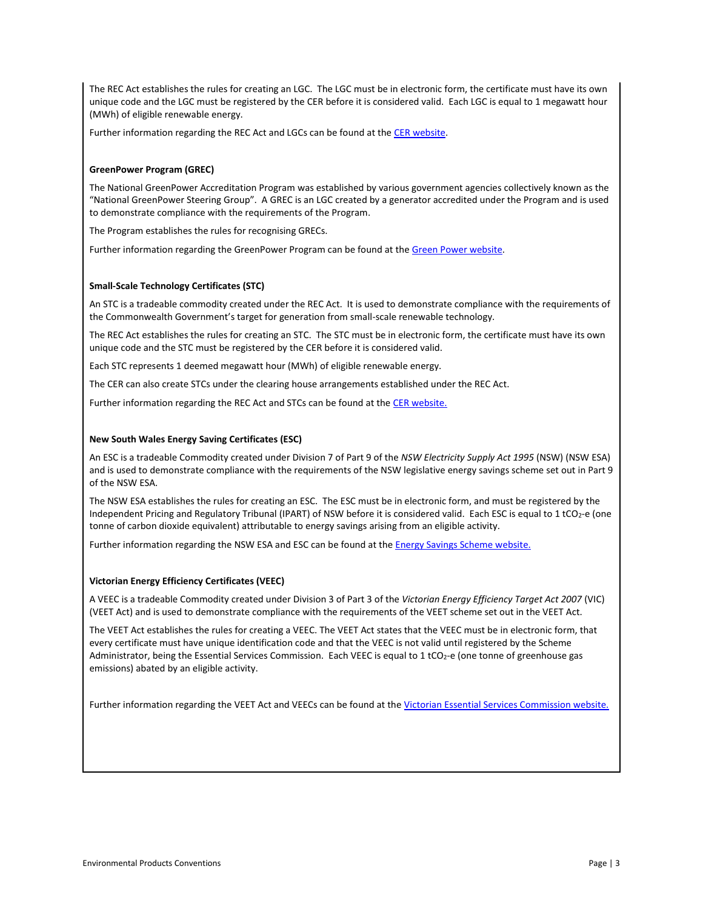The REC Act establishes the rules for creating an LGC. The LGC must be in electronic form, the certificate must have its own unique code and the LGC must be registered by the CER before it is considered valid. Each LGC is equal to 1 megawatt hour (MWh) of eligible renewable energy.

Further information regarding the REC Act and LGCs can be found at the CER [website.](http://www.cleanenergyregulator.gov.au/Pages/default.aspx)

#### **GreenPower Program (GREC)**

The National GreenPower Accreditation Program was established by various government agencies collectively known as the "National GreenPower Steering Group". A GREC is an LGC created by a generator accredited under the Program and is used to demonstrate compliance with the requirements of the Program.

The Program establishes the rules for recognising GRECs.

Further information regarding the GreenPower Program can be found at the [Green Power website.](http://www.greenpower.gov.au/home.aspx)

#### **Small-Scale Technology Certificates (STC)**

An STC is a tradeable commodity created under the REC Act. It is used to demonstrate compliance with the requirements of the Commonwealth Government's target for generation from small-scale renewable technology.

The REC Act establishes the rules for creating an STC. The STC must be in electronic form, the certificate must have its own unique code and the STC must be registered by the CER before it is considered valid.

Each STC represents 1 deemed megawatt hour (MWh) of eligible renewable energy.

The CER can also create STCs under the clearing house arrangements established under the REC Act.

Further information regarding the REC Act and STCs can be found at the CER [website.](http://www.cleanenergyregulator.gov.au/RET/Scheme-participants-and-industry/Agents-and-installers/Small-scale-technology-certificates)

#### **New South Wales Energy Saving Certificates (ESC)**

An ESC is a tradeable Commodity created under Division 7 of Part 9 of the *NSW Electricity Supply Act 1995* (NSW) (NSW ESA) and is used to demonstrate compliance with the requirements of the NSW legislative energy savings scheme set out in Part 9 of the NSW ESA.

The NSW ESA establishes the rules for creating an ESC. The ESC must be in electronic form, and must be registered by the Independent Pricing and Regulatory Tribunal (IPART) of NSW before it is considered valid. Each ESC is equal to 1 tCO<sub>2</sub>-e (one tonne of carbon dioxide equivalent) attributable to energy savings arising from an eligible activity.

Further information regarding the NSW ESA and ESC can be found at the **Energy Savings Scheme website.** 

#### **Victorian Energy Efficiency Certificates (VEEC)**

A VEEC is a tradeable Commodity created under Division 3 of Part 3 of the *Victorian Energy Efficiency Target Act 2007* (VIC) (VEET Act) and is used to demonstrate compliance with the requirements of the VEET scheme set out in the VEET Act.

The VEET Act establishes the rules for creating a VEEC. The VEET Act states that the VEEC must be in electronic form, that every certificate must have unique identification code and that the VEEC is not valid until registered by the Scheme Administrator, being the Essential Services Commission. Each VEEC is equal to 1 tCO<sub>2</sub>-e (one tonne of greenhouse gas emissions) abated by an eligible activity.

Further information regarding the VEET Act and VEECs can be found at the [Victorian Essential Services Commission website.](https://www.veet.vic.gov.au/Public/Public.aspx?id=Home)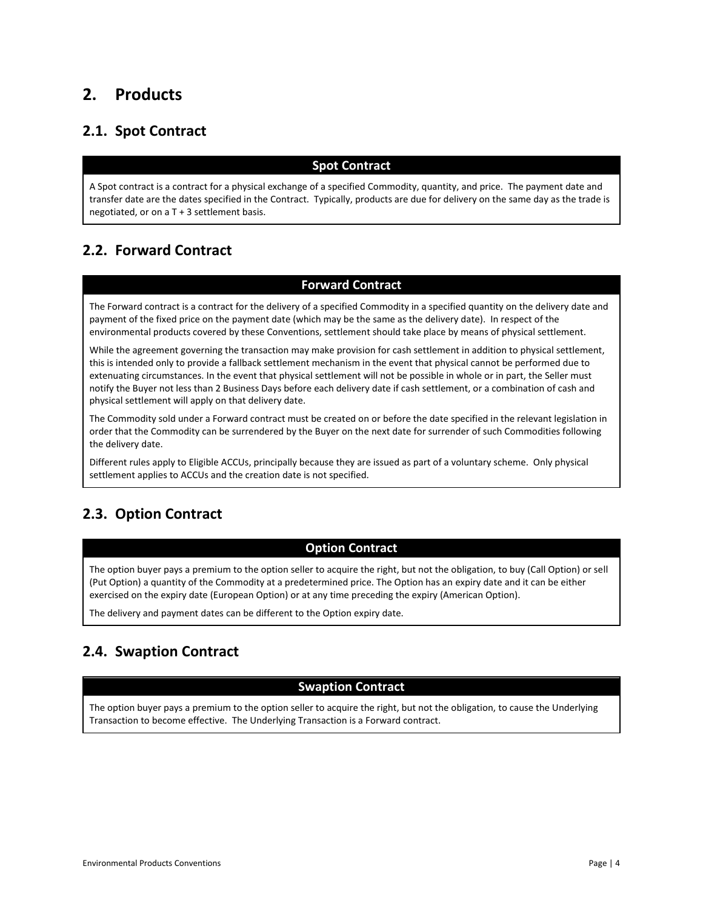# <span id="page-3-0"></span>**2. Products**

# <span id="page-3-1"></span>**2.1. Spot Contract**

### **Spot Contract**

A Spot contract is a contract for a physical exchange of a specified Commodity, quantity, and price. The payment date and transfer date are the dates specified in the Contract. Typically, products are due for delivery on the same day as the trade is negotiated, or on a T + 3 settlement basis.

# <span id="page-3-2"></span>**2.2. Forward Contract**

### **Forward Contract**

The Forward contract is a contract for the delivery of a specified Commodity in a specified quantity on the delivery date and payment of the fixed price on the payment date (which may be the same as the delivery date). In respect of the environmental products covered by these Conventions, settlement should take place by means of physical settlement.

While the agreement governing the transaction may make provision for cash settlement in addition to physical settlement, this is intended only to provide a fallback settlement mechanism in the event that physical cannot be performed due to extenuating circumstances. In the event that physical settlement will not be possible in whole or in part, the Seller must notify the Buyer not less than 2 Business Days before each delivery date if cash settlement, or a combination of cash and physical settlement will apply on that delivery date.

The Commodity sold under a Forward contract must be created on or before the date specified in the relevant legislation in order that the Commodity can be surrendered by the Buyer on the next date for surrender of such Commodities following the delivery date.

Different rules apply to Eligible ACCUs, principally because they are issued as part of a voluntary scheme. Only physical settlement applies to ACCUs and the creation date is not specified.

# <span id="page-3-3"></span>**2.3. Option Contract**

### **Option Contract**

The option buyer pays a premium to the option seller to acquire the right, but not the obligation, to buy (Call Option) or sell (Put Option) a quantity of the Commodity at a predetermined price. The Option has an expiry date and it can be either exercised on the expiry date (European Option) or at any time preceding the expiry (American Option).

The delivery and payment dates can be different to the Option expiry date.

# <span id="page-3-4"></span>**2.4. Swaption Contract**

### **Swaption Contract**

The option buyer pays a premium to the option seller to acquire the right, but not the obligation, to cause the Underlying Transaction to become effective. The Underlying Transaction is a Forward contract.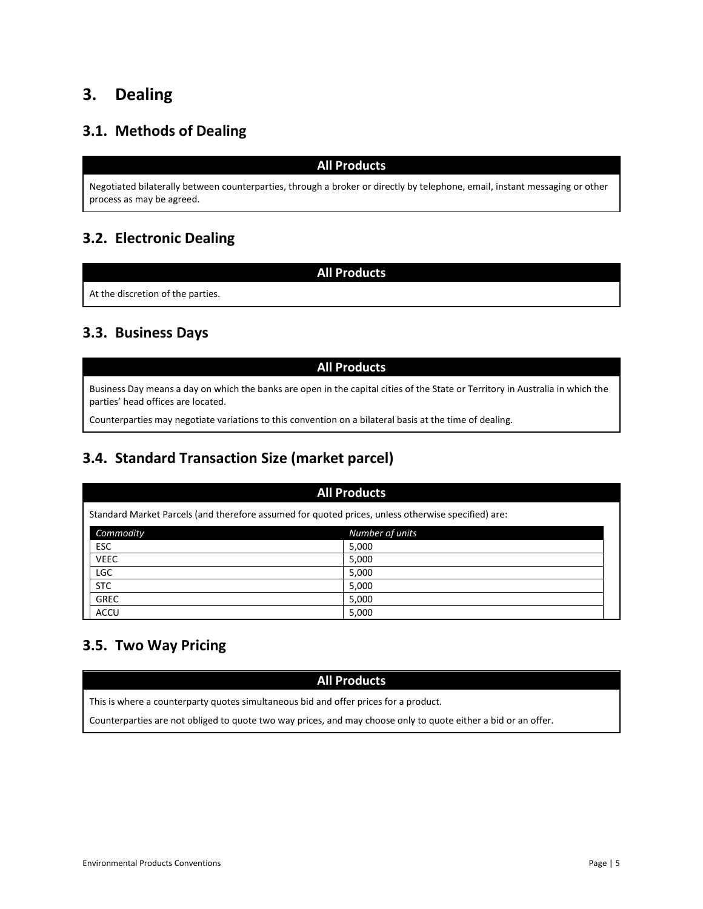# <span id="page-4-0"></span>**3. Dealing**

# <span id="page-4-1"></span>**3.1. Methods of Dealing**

#### **All Products**

Negotiated bilaterally between counterparties, through a broker or directly by telephone, email, instant messaging or other process as may be agreed.

# <span id="page-4-2"></span>**3.2. Electronic Dealing**

**All Products**

At the discretion of the parties.

## <span id="page-4-3"></span>**3.3. Business Days**

### **All Products**

Business Day means a day on which the banks are open in the capital cities of the State or Territory in Australia in which the parties' head offices are located.

Counterparties may negotiate variations to this convention on a bilateral basis at the time of dealing.

# <span id="page-4-4"></span>**3.4. Standard Transaction Size (market parcel)**

|                                                                                                    | <b>All Products</b> |                 |  |  |  |  |
|----------------------------------------------------------------------------------------------------|---------------------|-----------------|--|--|--|--|
| Standard Market Parcels (and therefore assumed for quoted prices, unless otherwise specified) are: |                     |                 |  |  |  |  |
|                                                                                                    | Commodity           | Number of units |  |  |  |  |
|                                                                                                    | <b>ESC</b>          | 5,000           |  |  |  |  |
|                                                                                                    | <b>VEEC</b>         | 5,000           |  |  |  |  |
|                                                                                                    | <b>LGC</b>          | 5,000           |  |  |  |  |
|                                                                                                    | <b>STC</b>          | 5,000           |  |  |  |  |
|                                                                                                    | <b>GREC</b>         | 5,000           |  |  |  |  |
|                                                                                                    | <b>ACCU</b>         | 5,000           |  |  |  |  |

# <span id="page-4-5"></span>**3.5. Two Way Pricing**

#### **All Products**

This is where a counterparty quotes simultaneous bid and offer prices for a product.

Counterparties are not obliged to quote two way prices, and may choose only to quote either a bid or an offer.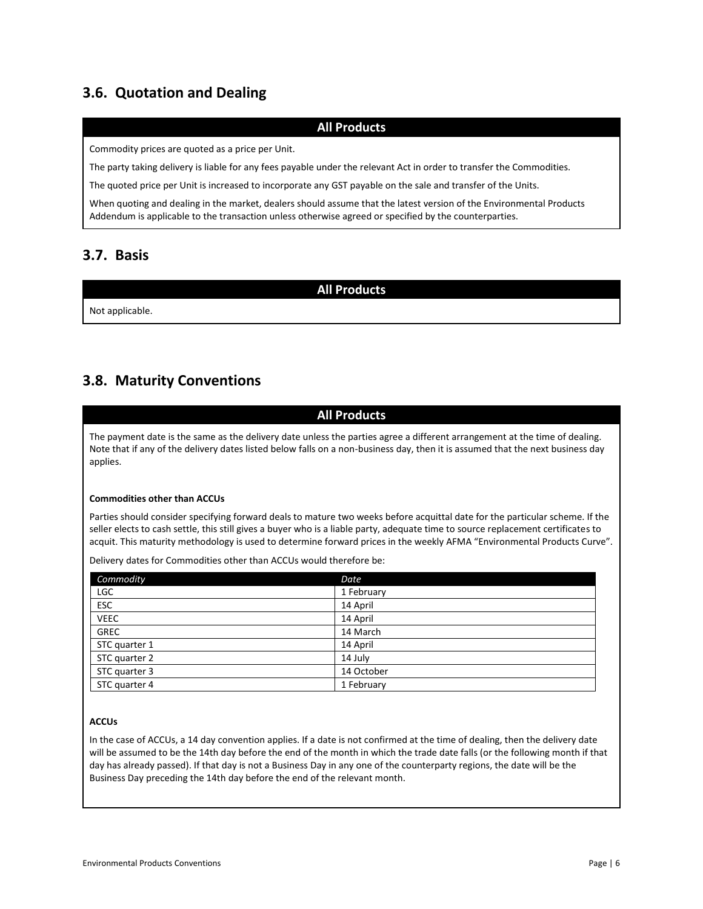# <span id="page-5-0"></span>**3.6. Quotation and Dealing**

### **All Products**

Commodity prices are quoted as a price per Unit.

The party taking delivery is liable for any fees payable under the relevant Act in order to transfer the Commodities.

The quoted price per Unit is increased to incorporate any GST payable on the sale and transfer of the Units.

When quoting and dealing in the market, dealers should assume that the latest version of the Environmental Products Addendum is applicable to the transaction unless otherwise agreed or specified by the counterparties.

## <span id="page-5-1"></span>**3.7. Basis**

**All Products**

Not applicable.

# <span id="page-5-2"></span>**3.8. Maturity Conventions**

### **All Products**

The payment date is the same as the delivery date unless the parties agree a different arrangement at the time of dealing. Note that if any of the delivery dates listed below falls on a non-business day, then it is assumed that the next business day applies.

#### **Commodities other than ACCUs**

Parties should consider specifying forward deals to mature two weeks before acquittal date for the particular scheme. If the seller elects to cash settle, this still gives a buyer who is a liable party, adequate time to source replacement certificates to acquit. This maturity methodology is used to determine forward prices in the weekly AFMA "Environmental Products Curve".

Delivery dates for Commodities other than ACCUs would therefore be:

| Commodity     | Date       |
|---------------|------------|
| <b>LGC</b>    | 1 February |
| <b>ESC</b>    | 14 April   |
| <b>VEEC</b>   | 14 April   |
| <b>GREC</b>   | 14 March   |
| STC quarter 1 | 14 April   |
| STC quarter 2 | 14 July    |
| STC quarter 3 | 14 October |
| STC quarter 4 | 1 February |

#### **ACCUs**

In the case of ACCUs, a 14 day convention applies. If a date is not confirmed at the time of dealing, then the delivery date will be assumed to be the 14th day before the end of the month in which the trade date falls (or the following month if that day has already passed). If that day is not a Business Day in any one of the counterparty regions, the date will be the Business Day preceding the 14th day before the end of the relevant month.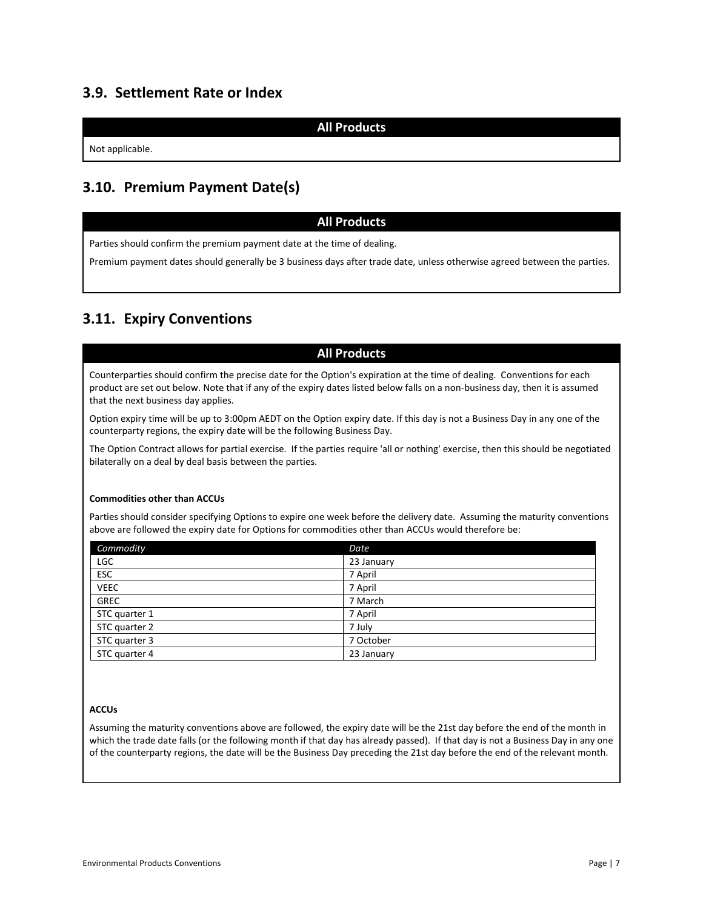## <span id="page-6-0"></span>**3.9. Settlement Rate or Index**

**All Products**

Not applicable.

## <span id="page-6-1"></span>**3.10. Premium Payment Date(s)**

### **All Products**

Parties should confirm the premium payment date at the time of dealing.

Premium payment dates should generally be 3 business days after trade date, unless otherwise agreed between the parties.

# <span id="page-6-2"></span>**3.11. Expiry Conventions**

### **All Products**

Counterparties should confirm the precise date for the Option's expiration at the time of dealing. Conventions for each product are set out below. Note that if any of the expiry dates listed below falls on a non-business day, then it is assumed that the next business day applies.

Option expiry time will be up to 3:00pm AEDT on the Option expiry date. If this day is not a Business Day in any one of the counterparty regions, the expiry date will be the following Business Day.

The Option Contract allows for partial exercise. If the parties require 'all or nothing' exercise, then this should be negotiated bilaterally on a deal by deal basis between the parties.

#### **Commodities other than ACCUs**

Parties should consider specifying Options to expire one week before the delivery date. Assuming the maturity conventions above are followed the expiry date for Options for commodities other than ACCUs would therefore be:

| Commodity     | Date       |
|---------------|------------|
| <b>LGC</b>    | 23 January |
| <b>ESC</b>    | 7 April    |
| <b>VEEC</b>   | 7 April    |
| <b>GREC</b>   | 7 March    |
| STC quarter 1 | 7 April    |
| STC quarter 2 | 7 July     |
| STC quarter 3 | 7 October  |
| STC quarter 4 | 23 January |

#### **ACCUs**

Assuming the maturity conventions above are followed, the expiry date will be the 21st day before the end of the month in which the trade date falls (or the following month if that day has already passed). If that day is not a Business Day in any one of the counterparty regions, the date will be the Business Day preceding the 21st day before the end of the relevant month.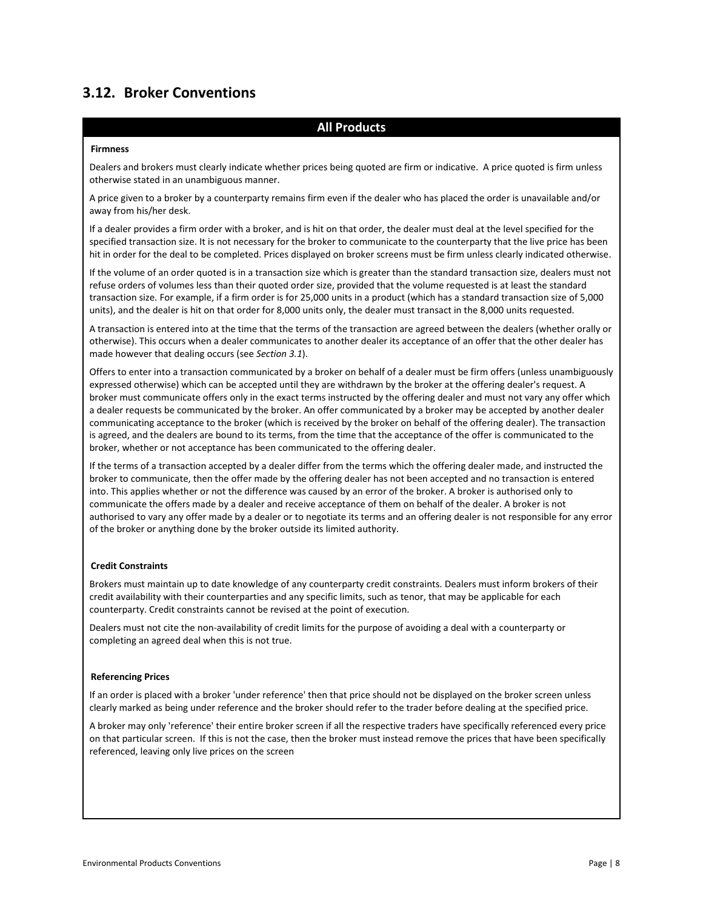# <span id="page-7-0"></span>**3.12. Broker Conventions**

#### **All Products**

#### **Firmness**

Dealers and brokers must clearly indicate whether prices being quoted are firm or indicative. A price quoted is firm unless otherwise stated in an unambiguous manner.

A price given to a broker by a counterparty remains firm even if the dealer who has placed the order is unavailable and/or away from his/her desk.

If a dealer provides a firm order with a broker, and is hit on that order, the dealer must deal at the level specified for the specified transaction size. It is not necessary for the broker to communicate to the counterparty that the live price has been hit in order for the deal to be completed. Prices displayed on broker screens must be firm unless clearly indicated otherwise.

If the volume of an order quoted is in a transaction size which is greater than the standard transaction size, dealers must not refuse orders of volumes less than their quoted order size, provided that the volume requested is at least the standard transaction size. For example, if a firm order is for 25,000 units in a product (which has a standard transaction size of 5,000 units), and the dealer is hit on that order for 8,000 units only, the dealer must transact in the 8,000 units requested.

A transaction is entered into at the time that the terms of the transaction are agreed between the dealers (whether orally or otherwise). This occurs when a dealer communicates to another dealer its acceptance of an offer that the other dealer has made however that dealing occurs (see *Section 3.1*).

Offers to enter into a transaction communicated by a broker on behalf of a dealer must be firm offers (unless unambiguously expressed otherwise) which can be accepted until they are withdrawn by the broker at the offering dealer's request. A broker must communicate offers only in the exact terms instructed by the offering dealer and must not vary any offer which a dealer requests be communicated by the broker. An offer communicated by a broker may be accepted by another dealer communicating acceptance to the broker (which is received by the broker on behalf of the offering dealer). The transaction is agreed, and the dealers are bound to its terms, from the time that the acceptance of the offer is communicated to the broker, whether or not acceptance has been communicated to the offering dealer.

If the terms of a transaction accepted by a dealer differ from the terms which the offering dealer made, and instructed the broker to communicate, then the offer made by the offering dealer has not been accepted and no transaction is entered into. This applies whether or not the difference was caused by an error of the broker. A broker is authorised only to communicate the offers made by a dealer and receive acceptance of them on behalf of the dealer. A broker is not authorised to vary any offer made by a dealer or to negotiate its terms and an offering dealer is not responsible for any error of the broker or anything done by the broker outside its limited authority.

#### **Credit Constraints**

Brokers must maintain up to date knowledge of any counterparty credit constraints. Dealers must inform brokers of their credit availability with their counterparties and any specific limits, such as tenor, that may be applicable for each counterparty. Credit constraints cannot be revised at the point of execution.

Dealers must not cite the non-availability of credit limits for the purpose of avoiding a deal with a counterparty or completing an agreed deal when this is not true.

#### **Referencing Prices**

If an order is placed with a broker 'under reference' then that price should not be displayed on the broker screen unless clearly marked as being under reference and the broker should refer to the trader before dealing at the specified price.

A broker may only 'reference' their entire broker screen if all the respective traders have specifically referenced every price on that particular screen. If this is not the case, then the broker must instead remove the prices that have been specifically referenced, leaving only live prices on the screen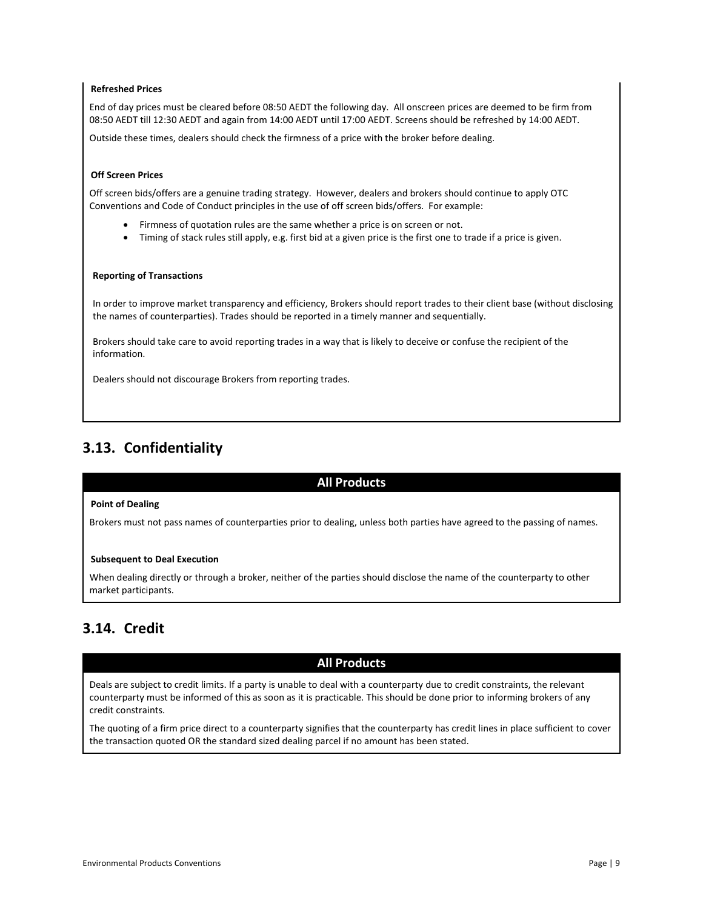#### **Refreshed Prices**

End of day prices must be cleared before 08:50 AEDT the following day. All onscreen prices are deemed to be firm from 08:50 AEDT till 12:30 AEDT and again from 14:00 AEDT until 17:00 AEDT. Screens should be refreshed by 14:00 AEDT.

Outside these times, dealers should check the firmness of a price with the broker before dealing.

#### **Off Screen Prices**

Off screen bids/offers are a genuine trading strategy. However, dealers and brokers should continue to apply OTC Conventions and Code of Conduct principles in the use of off screen bids/offers. For example:

- Firmness of quotation rules are the same whether a price is on screen or not.
- Timing of stack rules still apply, e.g. first bid at a given price is the first one to trade if a price is given.

#### **Reporting of Transactions**

In order to improve market transparency and efficiency, Brokers should report trades to their client base (without disclosing the names of counterparties). Trades should be reported in a timely manner and sequentially.

Brokers should take care to avoid reporting trades in a way that is likely to deceive or confuse the recipient of the information.

Dealers should not discourage Brokers from reporting trades.

## <span id="page-8-0"></span>**3.13. Confidentiality**

#### **All Products**

#### **Point of Dealing**

Brokers must not pass names of counterparties prior to dealing, unless both parties have agreed to the passing of names.

#### **Subsequent to Deal Execution**

When dealing directly or through a broker, neither of the parties should disclose the name of the counterparty to other market participants.

### <span id="page-8-1"></span>**3.14. Credit**

#### **All Products**

Deals are subject to credit limits. If a party is unable to deal with a counterparty due to credit constraints, the relevant counterparty must be informed of this as soon as it is practicable. This should be done prior to informing brokers of any credit constraints.

<span id="page-8-2"></span>The quoting of a firm price direct to a counterparty signifies that the counterparty has credit lines in place sufficient to cover the transaction quoted OR the standard sized dealing parcel if no amount has been stated.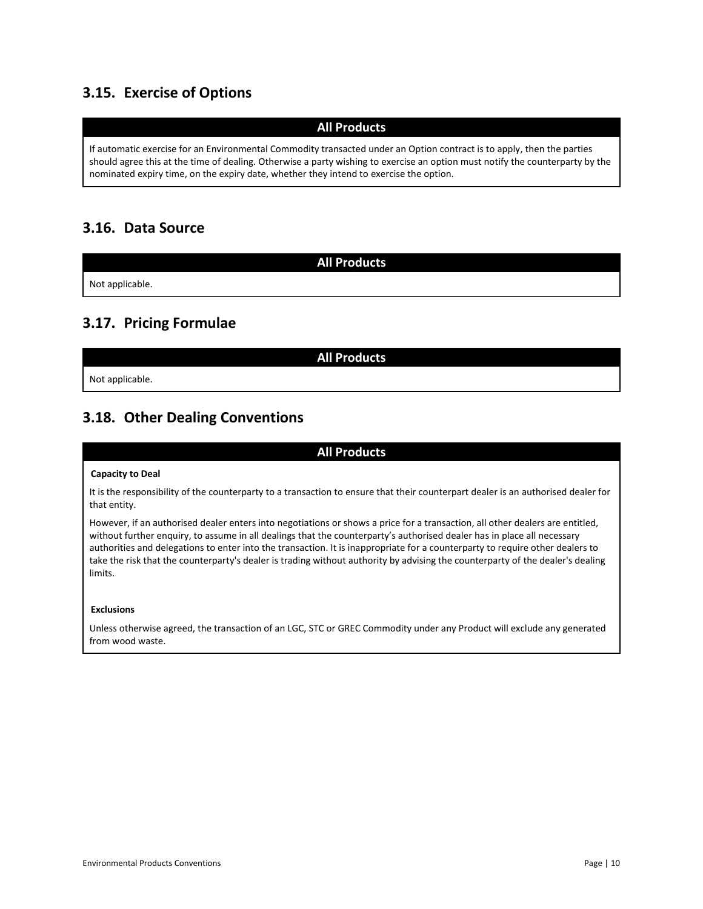# **3.15. Exercise of Options**

### **All Products**

If automatic exercise for an Environmental Commodity transacted under an Option contract is to apply, then the parties should agree this at the time of dealing. Otherwise a party wishing to exercise an option must notify the counterparty by the nominated expiry time, on the expiry date, whether they intend to exercise the option.

# <span id="page-9-0"></span>**3.16. Data Source**

Not applicable.

## <span id="page-9-1"></span>**3.17. Pricing Formulae**

**All Products**

**All Products**

Not applicable.

# <span id="page-9-2"></span>**3.18. Other Dealing Conventions**

#### **All Products**

#### **Capacity to Deal**

It is the responsibility of the counterparty to a transaction to ensure that their counterpart dealer is an authorised dealer for that entity.

However, if an authorised dealer enters into negotiations or shows a price for a transaction, all other dealers are entitled, without further enquiry, to assume in all dealings that the counterparty's authorised dealer has in place all necessary authorities and delegations to enter into the transaction. It is inappropriate for a counterparty to require other dealers to take the risk that the counterparty's dealer is trading without authority by advising the counterparty of the dealer's dealing limits.

#### **Exclusions**

<span id="page-9-3"></span>Unless otherwise agreed, the transaction of an LGC, STC or GREC Commodity under any Product will exclude any generated from wood waste.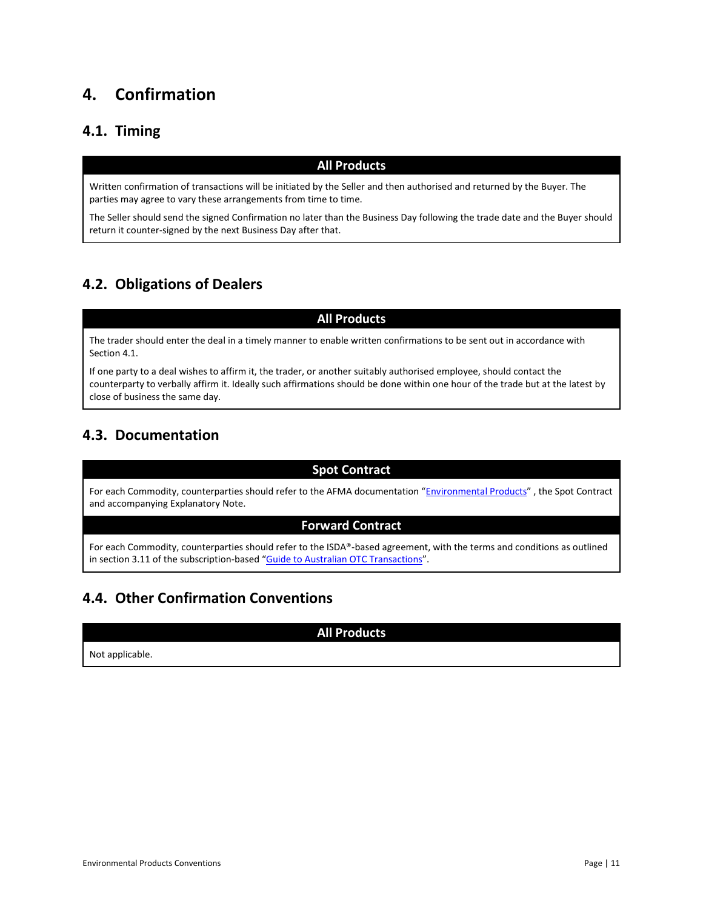# **4. Confirmation**

# <span id="page-10-0"></span>**4.1. Timing**

### **All Products**

Written confirmation of transactions will be initiated by the Seller and then authorised and returned by the Buyer. The parties may agree to vary these arrangements from time to time.

The Seller should send the signed Confirmation no later than the Business Day following the trade date and the Buyer should return it counter-signed by the next Business Day after that.

# <span id="page-10-1"></span>**4.2. Obligations of Dealers**

**All Products**

The trader should enter the deal in a timely manner to enable written confirmations to be sent out in accordance with Section 4.1.

If one party to a deal wishes to affirm it, the trader, or another suitably authorised employee, should contact the counterparty to verbally affirm it. Ideally such affirmations should be done within one hour of the trade but at the latest by close of business the same day.

# <span id="page-10-2"></span>**4.3. Documentation**

### **Spot Contract**

For each Commodity, counterparties should refer to the AFMA documentation "[Environmental Products](http://www.afma.com.au/standards/standard-documentation)", the Spot Contract and accompanying Explanatory Note.

#### **Forward Contract**

For each Commodity, counterparties should refer to the ISDA®-based agreement, with the terms and conditions as outlined in section 3.11 of the subscription-based "[Guide to Australian OTC Transactions](http://www.otcguide.com.au/)".

# <span id="page-10-3"></span>**4.4. Other Confirmation Conventions**

**All Products**

<span id="page-10-4"></span>Not applicable.